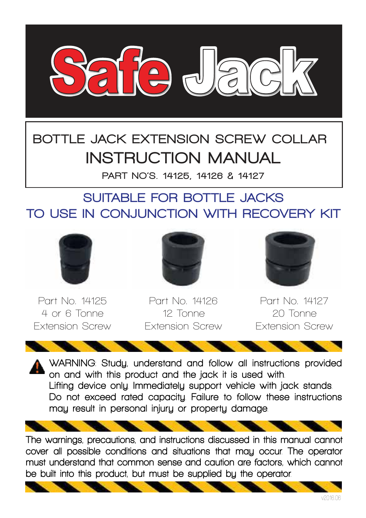

# BOTTLE JACK EXTENSION SCREW COLLAR INSTRUCTION MANUAL

PART NO'S. 14125, 14126 & 14127

#### SUITABLE FOR BOTTLE JACKS TO USE IN CONJUNCTION WITH RECOVERY KIT



**Part No. 14125 4 or 6 Tonne Extension Screw**



**Part No. 14126 12 Tonne Extension Screw**



**Part No. 14127 20 Tonne Extension Screw**

WARNING: Study, understand and follow all instructions provided on and with this product and the jack it is used with . Lifting device only Immediately support vehicle with jack stands. Do not exceed rated capacity. Failure to follow these instructions may result in personal injury or property damage .

The warnings, precautions, and instructions discussed in this manual cannot cover all possible conditions and situations that may occur. The operator must understand that common sense and caution are factors, which cannot be built into this product, but must be supplied bu the operator.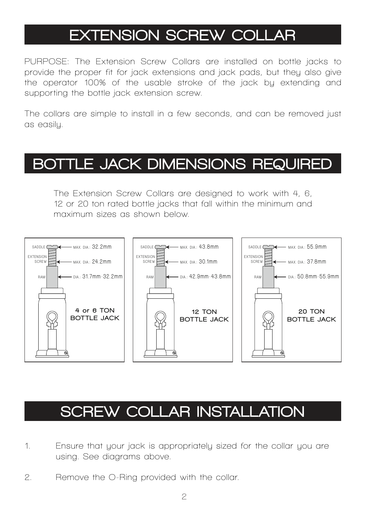## EXTENSION SCREW COLLAR

**PURPOSE: The Extension Screw Collars are installed on bottle jacks to**  provide the proper fit for jack extensions and jack pads, but they also give **the operator 100% of the usable stroke of the jack by extending and supporting the bottle jack extension screw.** 

**The collars are simple to install in a few seconds, and can be removed just as easily.**

### BOTTLE JACK DIMENSIONS REQUIRED

**The Extension Screw Collars are designed to work with 4, 6, 12 or 20 ton rated bottle jacks that fall within the minimum and maximum sizes as shown below.**



#### SCREW COLLAR INSTALLATION

- **1. Ensure that your jack is appropriately sized for the collar you are using. See diagrams above.**
- **2. Remove the O-Ring provided with the collar.**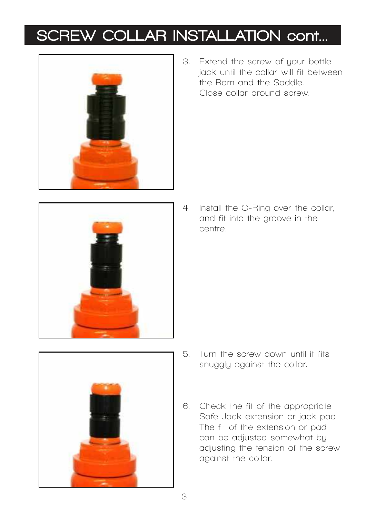# SCREW COLLAR INSTALLATION cont...



**3. Extend the screw of your bottle jack until the collar will fit between the Ram and the Saddle. Close collar around screw.**



**4. Install the O-Ring over the collar,**  and fit into the groove in the  **centre.**



- **5.** Turn the screw down until it fits  **snuggly against the collar.**
- 6. Check the fit of the appropriate  **Safe Jack extension or jack pad. The fit of the extension or pad can be adjusted somewhat by adjusting the tension of the screw against the collar.**